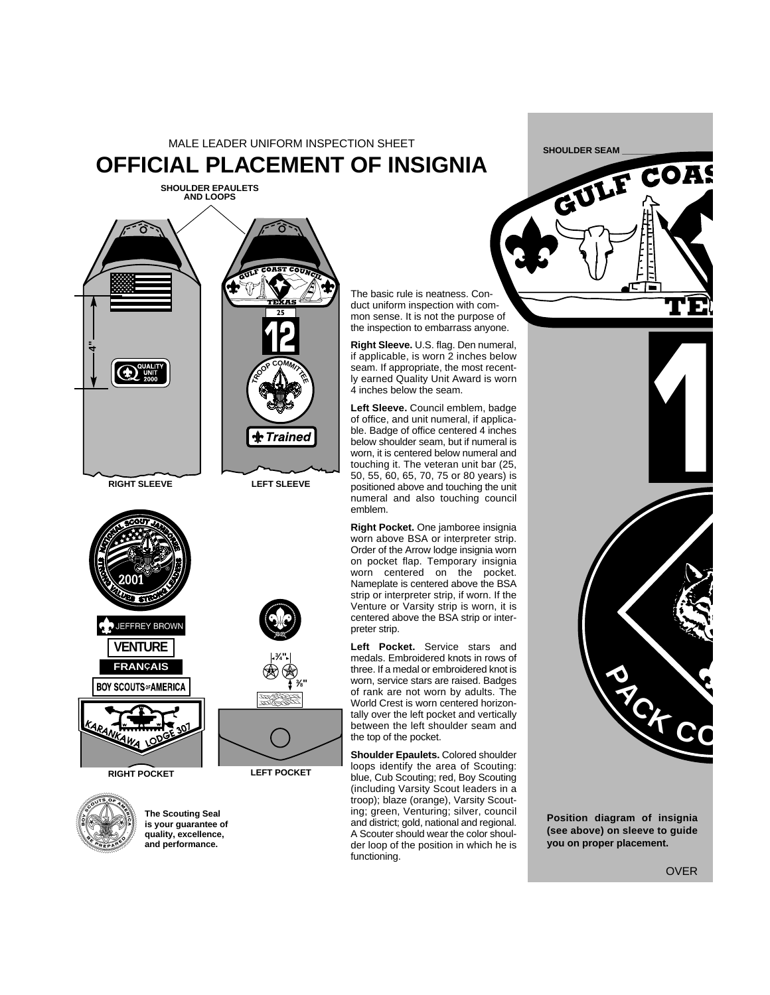## MALE LEADER UNIFORM INSPECTION SHEET **OFFICIAL PLACEMENT OF INSIGNIA**

**SHOULDER EPAULETS AND LOOPS**



**RIGHT SLEEVE**



**3 ⁄4"**

> **3 ⁄8"**



**The Scouting Seal is your guarantee of quality, excellence, and performance.**

The basic rule is neatness. Conduct uniform inspection with common sense. It is not the purpose of the inspection to embarrass anyone.

**Right Sleeve.** U.S. flag. Den numeral, if applicable, is worn 2 inches below seam. If appropriate, the most recently earned Quality Unit Award is worn 4 inches below the seam.

**Left Sleeve.** Council emblem, badge of office, and unit numeral, if applicable. Badge of office centered 4 inches below shoulder seam, but if numeral is worn, it is centered below numeral and touching it. The veteran unit bar (25, 50, 55, 60, 65, 70, 75 or 80 years) is positioned above and touching the unit numeral and also touching council emblem.

**Right Pocket.** One jamboree insignia worn above BSA or interpreter strip. Order of the Arrow lodge insignia worn on pocket flap. Temporary insignia worn centered on the pocket. Nameplate is centered above the BSA strip or interpreter strip, if worn. If the Venture or Varsity strip is worn, it is centered above the BSA strip or interpreter strip.

**Left Pocket.** Service stars and medals. Embroidered knots in rows of three. If a medal or embroidered knot is worn, service stars are raised. Badges of rank are not worn by adults. The World Crest is worn centered horizontally over the left pocket and vertically between the left shoulder seam and the top of the pocket.

**Shoulder Epaulets.** Colored shoulder loops identify the area of Scouting: blue, Cub Scouting; red, Boy Scouting (including Varsity Scout leaders in a troop); blaze (orange), Varsity Scouting; green, Venturing; silver, council and district; gold, national and regional. A Scouter should wear the color shoulder loop of the position in which he is functioning.





**Position diagram of insignia (see above) on sleeve to guide you on proper placement.**

OVER